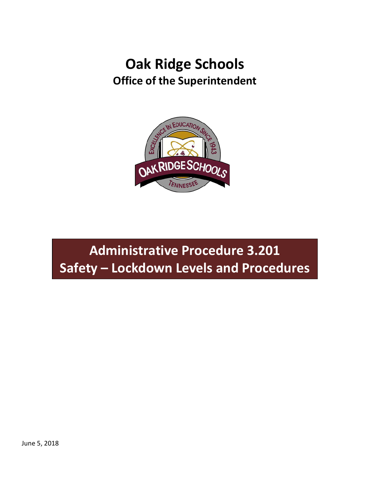## **Oak Ridge Schools Office of the Superintendent**



# **Administrative Procedure 3.201 Safety – Lockdown Levels and Procedures**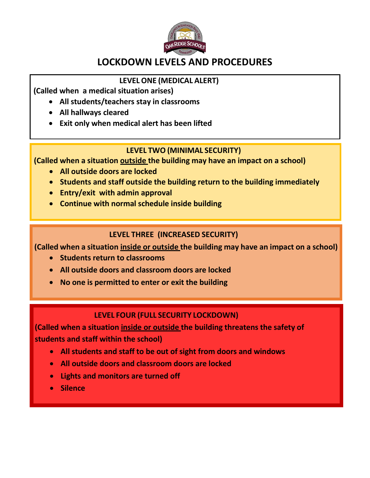

## **LOCKDOWN LEVELS AND PROCEDURES**

### **LEVEL ONE (MEDICAL ALERT)**

**(Called when a medical situation arises)**

- **All students/teachers stay in classrooms**
- **All hallways cleared**
- **Exit only when medical alert has been lifted**

#### **LEVEL TWO (MINIMAL SECURITY)**

**(Called when a situation outside the building may have an impact on a school)**

- **All outside doors are locked**
- **Students and staff outside the building return to the building immediately**
- **Entry/exit with admin approval**
- **Continue with normal schedule inside building**

#### **LEVEL THREE (INCREASED SECURITY)**

**(Called when a situation inside or outside the building may have an impact on a school)**

- **Students return to classrooms**
- **All outside doors and classroom doors are locked**
- **No one is permitted to enter or exit the building**

### **LEVEL FOUR (FULL SECURITY LOCKDOWN)**

**(Called when a situation inside or outside the building threatens the safety of students and staff within the school)**

- **All students and staff to be out of sight from doors and windows**
- **All outside doors and classroom doors are locked**
- **Lights and monitors are turned off**
- **Silence**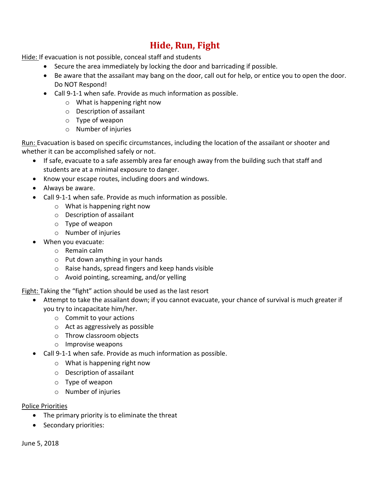### **Hide, Run, Fight**

Hide: If evacuation is not possible, conceal staff and students

- Secure the area immediately by locking the door and barricading if possible.
- Be aware that the assailant may bang on the door, call out for help, or entice you to open the door. Do NOT Respond!
- Call 9-1-1 when safe. Provide as much information as possible.
	- o What is happening right now
	- o Description of assailant
	- o Type of weapon
	- o Number of injuries

Run: Evacuation is based on specific circumstances, including the location of the assailant or shooter and whether it can be accomplished safely or not.

- If safe, evacuate to a safe assembly area far enough away from the building such that staff and students are at a minimal exposure to danger.
- Know your escape routes, including doors and windows.
- Always be aware.
- Call 9-1-1 when safe. Provide as much information as possible.
	- o What is happening right now
	- o Description of assailant
	- o Type of weapon
	- o Number of injuries
- When you evacuate:
	- o Remain calm
	- o Put down anything in your hands
	- o Raise hands, spread fingers and keep hands visible
	- o Avoid pointing, screaming, and/or yelling

Fight: Taking the "fight" action should be used as the last resort

- Attempt to take the assailant down; if you cannot evacuate, your chance of survival is much greater if you try to incapacitate him/her.
	- o Commit to your actions
	- o Act as aggressively as possible
	- o Throw classroom objects
	- o Improvise weapons
- Call 9-1-1 when safe. Provide as much information as possible.
	- o What is happening right now
	- o Description of assailant
	- o Type of weapon
	- o Number of injuries

#### Police Priorities

- The primary priority is to eliminate the threat
- Secondary priorities: